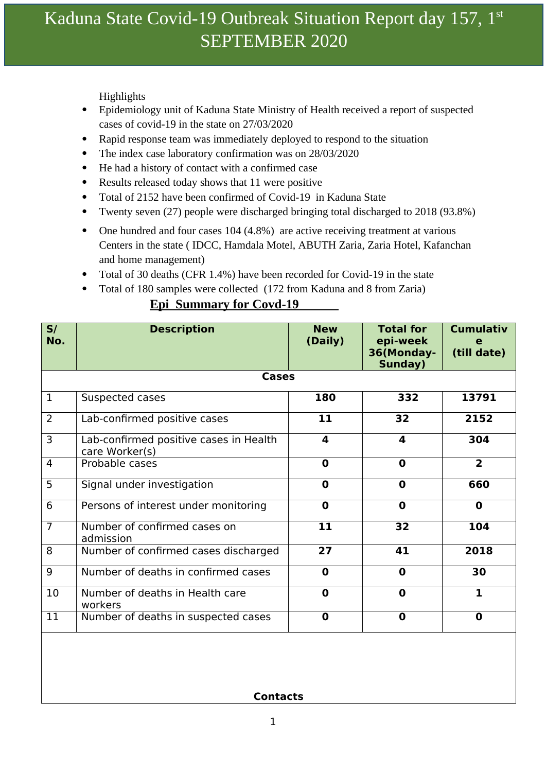# Kaduna State Covid-19 Outbreak Situation Report day 157, 1<sup>st</sup> SEPTEMBER 2020

Highlights

- Epidemiology unit of Kaduna State Ministry of Health received a report of suspected cases of covid-19 in the state on 27/03/2020
- Rapid response team was immediately deployed to respond to the situation
- The index case laboratory confirmation was on 28/03/2020
- He had a history of contact with a confirmed case
- Results released today shows that 11 were positive
- Total of 2152 have been confirmed of Covid-19 in Kaduna State
- Twenty seven (27) people were discharged bringing total discharged to 2018 (93.8%)
- One hundred and four cases 104 (4.8%) are active receiving treatment at various Centers in the state ( IDCC, Hamdala Motel, ABUTH Zaria, Zaria Hotel, Kafanchan and home management)
- Total of 30 deaths (CFR 1.4%) have been recorded for Covid-19 in the state
- Total of 180 samples were collected (172 from Kaduna and 8 from Zaria)

## **Epi Summary for Covd-19**

| S/<br>No.      | <b>Description</b>                                       | <b>New</b><br>(Daily) | <b>Total for</b><br>epi-week<br>36(Monday-<br>Sunday) | <b>Cumulativ</b><br>е<br>(till date) |  |  |
|----------------|----------------------------------------------------------|-----------------------|-------------------------------------------------------|--------------------------------------|--|--|
| <b>Cases</b>   |                                                          |                       |                                                       |                                      |  |  |
| $\mathbf{1}$   | Suspected cases                                          | 180                   | 332                                                   | 13791                                |  |  |
| $\overline{2}$ | Lab-confirmed positive cases                             | 11                    | 32                                                    | 2152                                 |  |  |
| $\overline{3}$ | Lab-confirmed positive cases in Health<br>care Worker(s) | 4                     | $\overline{\mathbf{A}}$                               | 304                                  |  |  |
| $\overline{4}$ | Probable cases                                           | $\mathbf 0$           | $\mathbf 0$                                           | $\overline{2}$                       |  |  |
| 5              | Signal under investigation                               | $\mathbf 0$           | $\mathbf 0$                                           | 660                                  |  |  |
| $\overline{6}$ | Persons of interest under monitoring                     | $\mathbf 0$           | $\mathbf 0$                                           | $\mathbf 0$                          |  |  |
| $\overline{7}$ | Number of confirmed cases on<br>admission                | 11                    | 32                                                    | 104                                  |  |  |
| 8              | Number of confirmed cases discharged                     | 27                    | 41                                                    | 2018                                 |  |  |
| 9              | Number of deaths in confirmed cases                      | $\mathbf 0$           | $\mathbf 0$                                           | 30                                   |  |  |
| 10             | Number of deaths in Health care<br>workers               | $\mathbf 0$           | $\mathbf 0$                                           | $\mathbf{1}$                         |  |  |
| 11             | Number of deaths in suspected cases                      | $\mathbf 0$           | $\mathbf 0$                                           | $\mathbf 0$                          |  |  |
|                |                                                          |                       |                                                       |                                      |  |  |

**Contacts**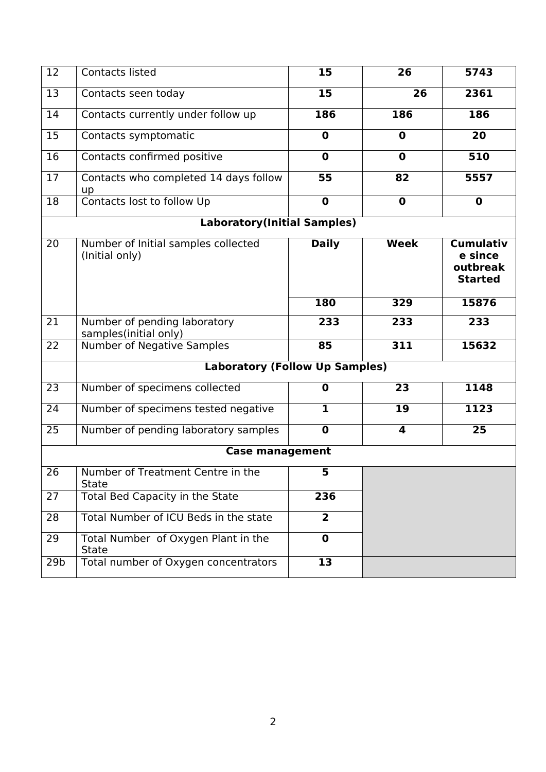| $\overline{12}$                    | <b>Contacts listed</b>                                | 15             | 26                      | 5743                                                      |  |  |  |
|------------------------------------|-------------------------------------------------------|----------------|-------------------------|-----------------------------------------------------------|--|--|--|
| 13                                 | Contacts seen today                                   | 15             | 26                      | 2361                                                      |  |  |  |
| 14                                 | Contacts currently under follow up                    | 186            | 186                     | 186                                                       |  |  |  |
| 15                                 | Contacts symptomatic                                  | $\mathbf 0$    | $\mathbf 0$             | 20                                                        |  |  |  |
| 16                                 | Contacts confirmed positive                           | $\mathbf 0$    | $\mathbf 0$             | 510                                                       |  |  |  |
| 17                                 | Contacts who completed 14 days follow<br>up           | 55             | 82                      | 5557                                                      |  |  |  |
| 18                                 | Contacts lost to follow Up                            | $\mathbf 0$    | $\mathbf 0$             | $\mathbf 0$                                               |  |  |  |
| <b>Laboratory(Initial Samples)</b> |                                                       |                |                         |                                                           |  |  |  |
| 20                                 | Number of Initial samples collected<br>(Initial only) | <b>Daily</b>   | <b>Week</b>             | <b>Cumulativ</b><br>e since<br>outbreak<br><b>Started</b> |  |  |  |
|                                    |                                                       | 180            | 329                     | 15876                                                     |  |  |  |
| 21                                 | Number of pending laboratory<br>samples(initial only) | 233            | 233                     | 233                                                       |  |  |  |
| 22                                 | <b>Number of Negative Samples</b>                     | 85             | 311                     | 15632                                                     |  |  |  |
|                                    | <b>Laboratory (Follow Up Samples)</b>                 |                |                         |                                                           |  |  |  |
| 23                                 | Number of specimens collected                         | $\mathbf 0$    | 23                      | 1148                                                      |  |  |  |
| 24                                 | Number of specimens tested negative                   | $\mathbf{1}$   | 19                      | 1123                                                      |  |  |  |
| 25                                 | Number of pending laboratory samples                  | $\mathbf 0$    | $\overline{\mathbf{4}}$ | 25                                                        |  |  |  |
| <b>Case management</b>             |                                                       |                |                         |                                                           |  |  |  |
| 26                                 | Number of Treatment Centre in the<br><b>State</b>     | 5              |                         |                                                           |  |  |  |
| 27                                 | Total Bed Capacity in the State                       | 236            |                         |                                                           |  |  |  |
| 28                                 | Total Number of ICU Beds in the state                 | $\overline{2}$ |                         |                                                           |  |  |  |
| 29                                 | Total Number of Oxygen Plant in the<br><b>State</b>   | $\mathbf 0$    |                         |                                                           |  |  |  |
| 29 <sub>b</sub>                    | Total number of Oxygen concentrators                  | 13             |                         |                                                           |  |  |  |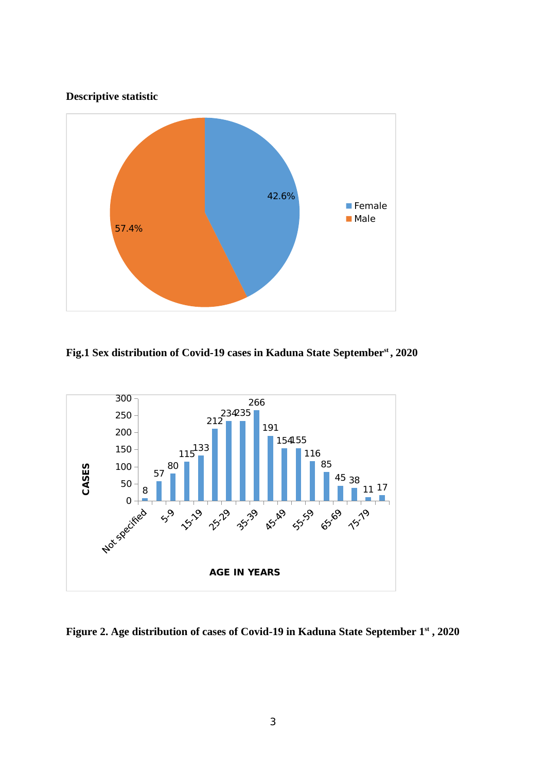### **Descriptive statistic**



**Fig.1 Sex distribution of Covid-19 cases in Kaduna State Septemberst , 2020**



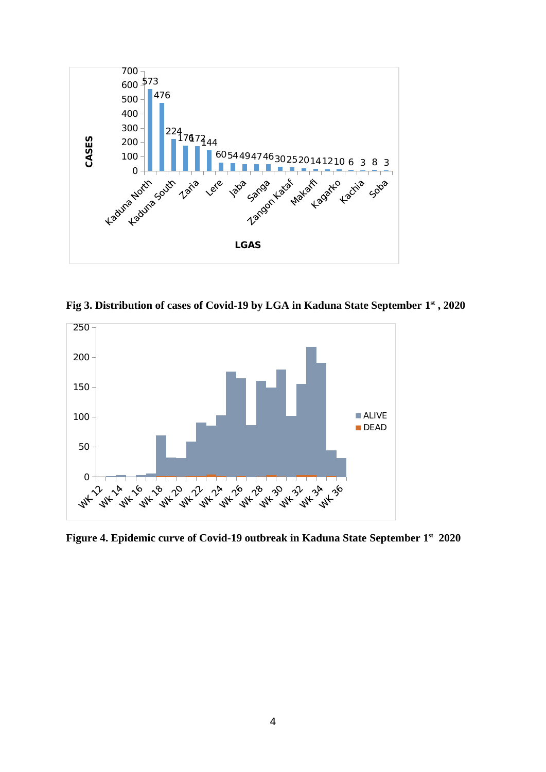

**Fig 3. Distribution of cases of Covid-19 by LGA in Kaduna State September 1 st , 2020**



**Figure 4. Epidemic curve of Covid-19 outbreak in Kaduna State September 1st 2020**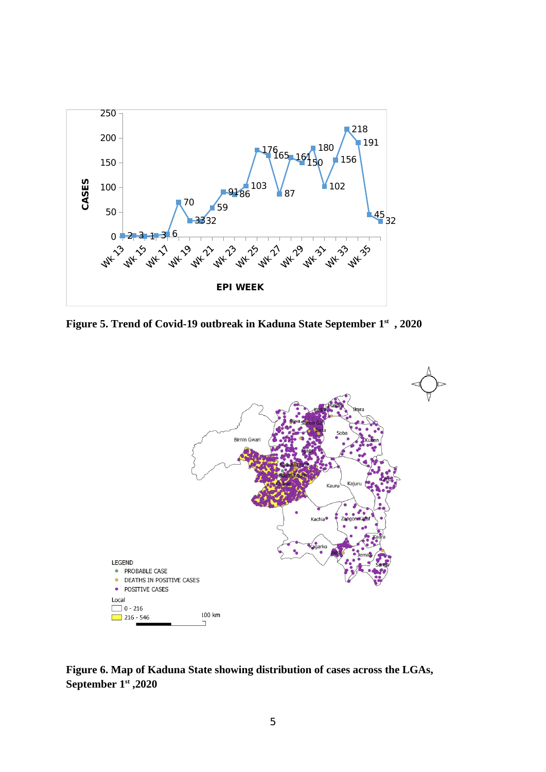

**Figure 5. Trend of Covid-19 outbreak in Kaduna State September 1 st , 2020**



**Figure 6. Map of Kaduna State showing distribution of cases across the LGAs, September 1st ,2020**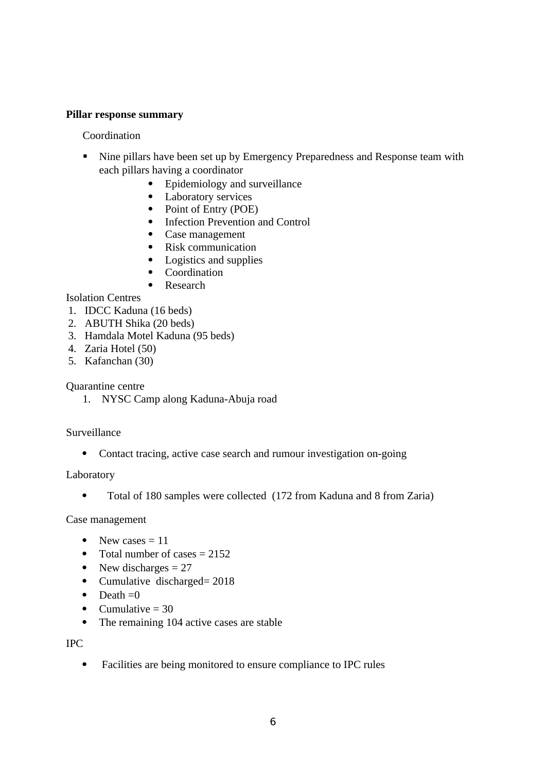#### **Pillar response summary**

Coordination

- **Nine pillars have been set up by Emergency Preparedness and Response team with** each pillars having a coordinator
	- Epidemiology and surveillance
	- Laboratory services
	- Point of Entry (POE)
	- Infection Prevention and Control
	- Case management
	- Risk communication
	- Logistics and supplies
	- Coordination
	- Research

#### Isolation Centres

- 1. IDCC Kaduna (16 beds)
- 2. ABUTH Shika (20 beds)
- 3. Hamdala Motel Kaduna (95 beds)
- 4. Zaria Hotel (50)
- 5. Kafanchan (30)

Quarantine centre

1. NYSC Camp along Kaduna-Abuja road

#### Surveillance

• Contact tracing, active case search and rumour investigation on-going

Laboratory

Total of 180 samples were collected (172 from Kaduna and 8 from Zaria)

Case management

- New cases  $= 11$
- Total number of cases  $= 2152$
- New discharges  $= 27$
- Cumulative discharged= 2018
- $\bullet$  Death = 0
- Cumulative  $= 30$
- The remaining 104 active cases are stable

IPC

Facilities are being monitored to ensure compliance to IPC rules